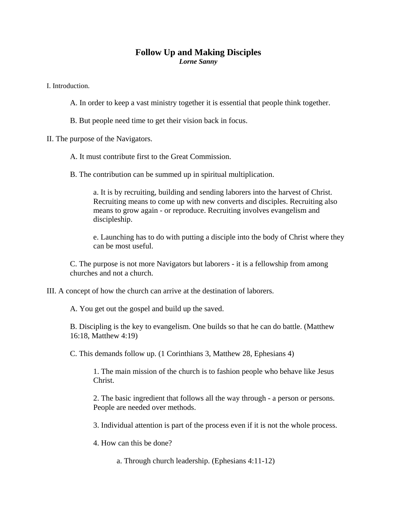## **Follow Up and Making Disciples**  *Lorne Sanny*

I. Introduction.

A. In order to keep a vast ministry together it is essential that people think together.

B. But people need time to get their vision back in focus.

II. The purpose of the Navigators.

## A. It must contribute first to the Great Commission.

B. The contribution can be summed up in spiritual multiplication.

a. It is by recruiting, building and sending laborers into the harvest of Christ. Recruiting means to come up with new converts and disciples. Recruiting also means to grow again - or reproduce. Recruiting involves evangelism and discipleship.

e. Launching has to do with putting a disciple into the body of Christ where they can be most useful.

C. The purpose is not more Navigators but laborers - it is a fellowship from among churches and not a church.

III. A concept of how the church can arrive at the destination of laborers.

A. You get out the gospel and build up the saved.

B. Discipling is the key to evangelism. One builds so that he can do battle. (Matthew 16:18, Matthew 4:19)

C. This demands follow up. (1 Corinthians 3, Matthew 28, Ephesians 4)

1. The main mission of the church is to fashion people who behave like Jesus Christ.

2. The basic ingredient that follows all the way through - a person or persons. People are needed over methods.

3. Individual attention is part of the process even if it is not the whole process.

4. How can this be done?

a. Through church leadership. (Ephesians 4:11-12)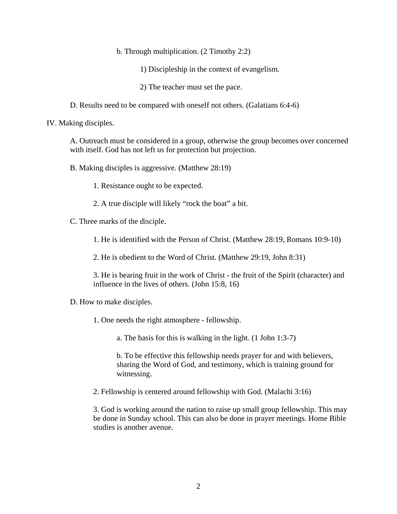b. Through multiplication. (2 Timothy 2:2)

1) Discipleship in the context of evangelism.

2) The teacher must set the pace.

D. Results need to be compared with oneself not others. (Galatians 6:4-6)

IV. Making disciples.

A. Outreach must be considered in a group, otherwise the group becomes over concerned with itself. God has not left us for protection but projection.

B. Making disciples is aggressive. (Matthew 28:19)

1. Resistance ought to be expected.

2. A true disciple will likely "rock the boat" a bit.

C. Three marks of the disciple.

1. He is identified with the Person of Christ. (Matthew 28:19, Romans 10:9-10)

2. He is obedient to the Word of Christ. (Matthew 29:19, John 8:31)

3. He is bearing fruit in the work of Christ - the fruit of the Spirit (character) and influence in the lives of others. (John 15:8, 16)

D. How to make disciples.

1. One needs the right atmosphere - fellowship.

a. The basis for this is walking in the light. (1 John 1:3-7)

b. To be effective this fellowship needs prayer for and with believers, sharing the Word of God, and testimony, which is training ground for witnessing.

2. Fellowship is centered around fellowship with God. (Malachi 3:16)

3. God is working around the nation to raise up small group fellowship. This may be done in Sunday school. This can also be done in prayer meetings. Home Bible studies is another avenue.